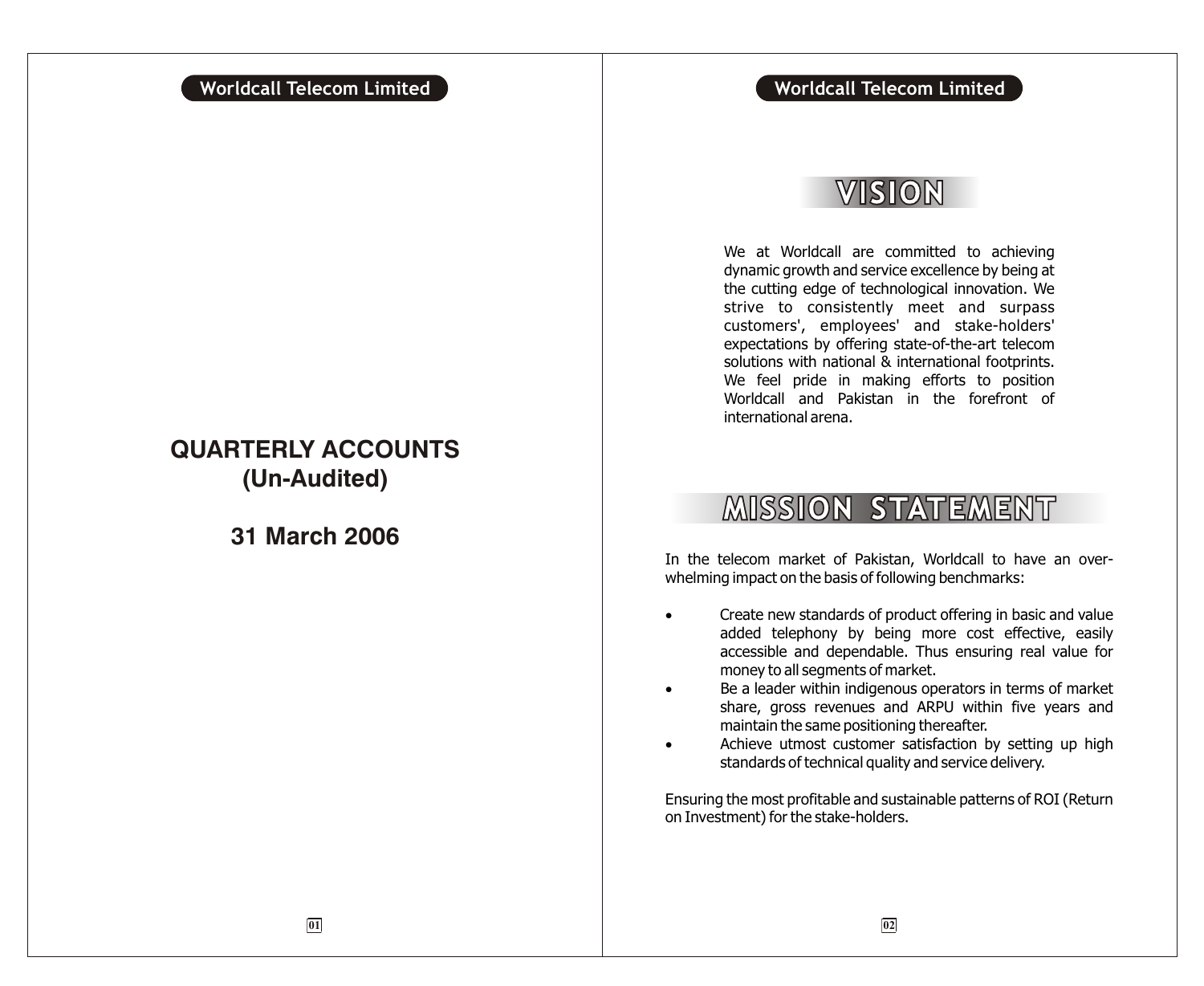## VISION

We at Worldcall are committed to achieving dynamic growth and service excellence by being at the cutting edge of technological innovation. We strive to consistently meet and surpass customers', employees' and stake-holders' expectations by offering state-of-the-art telecom solutions with national & international footprints. We feel pride in making efforts to position Worldcall and Pakistan in the forefront of international arena.

## **MISSION STATEMENT**

In the telecom market of Pakistan, Worldcall to have an overwhelming impact on the basis of following benchmarks:

> Create new standards of product offering in basic and value added telephony by being more cost effective, easily accessible and dependable. Thus ensuring real value for money to all segments of market.

> Be a leader within indigenous operators in terms of market share, gross revenues and ARPU within five years and maintain the same positioning thereafter.

> Achieve utmost customer satisfaction by setting up high standards of technical quality and service delivery.

Ensuring the most profitable and sustainable patterns of ROI (Return on Investment) for the stake-holders.

## **QUARTERLY ACCOUNTS (Un-Audited)**

**31 March 2006**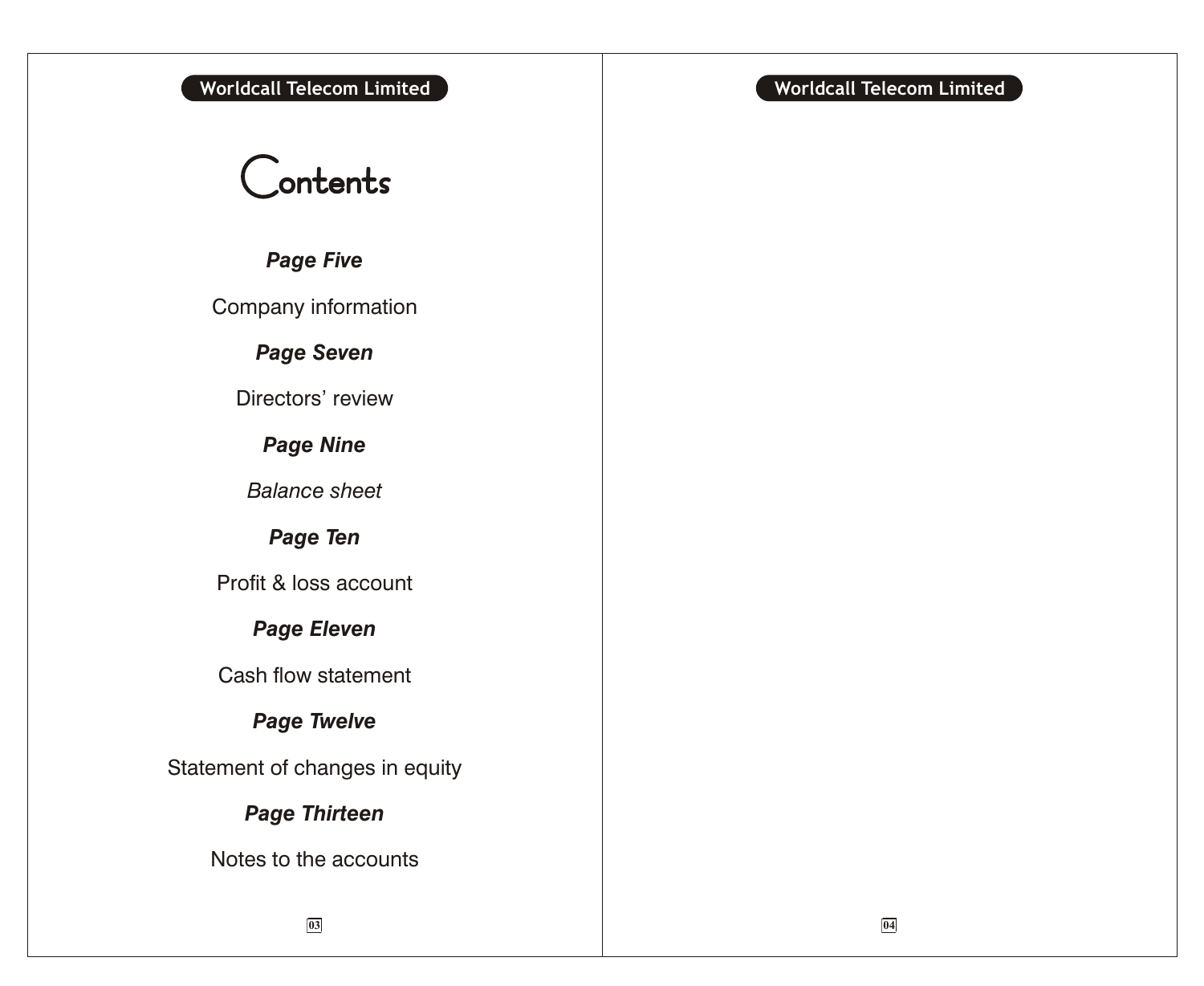# Contents

*Page Five*

Company information

*Page Seven*

Directors' review

*Page Nine*

*Balance sheet*

*Page Ten*

Profit & loss account

*Page Eleven*

Cash flow statement

*Page Twelve*

Statement of changes in equity

## *Page Thirteen*

Notes to the accounts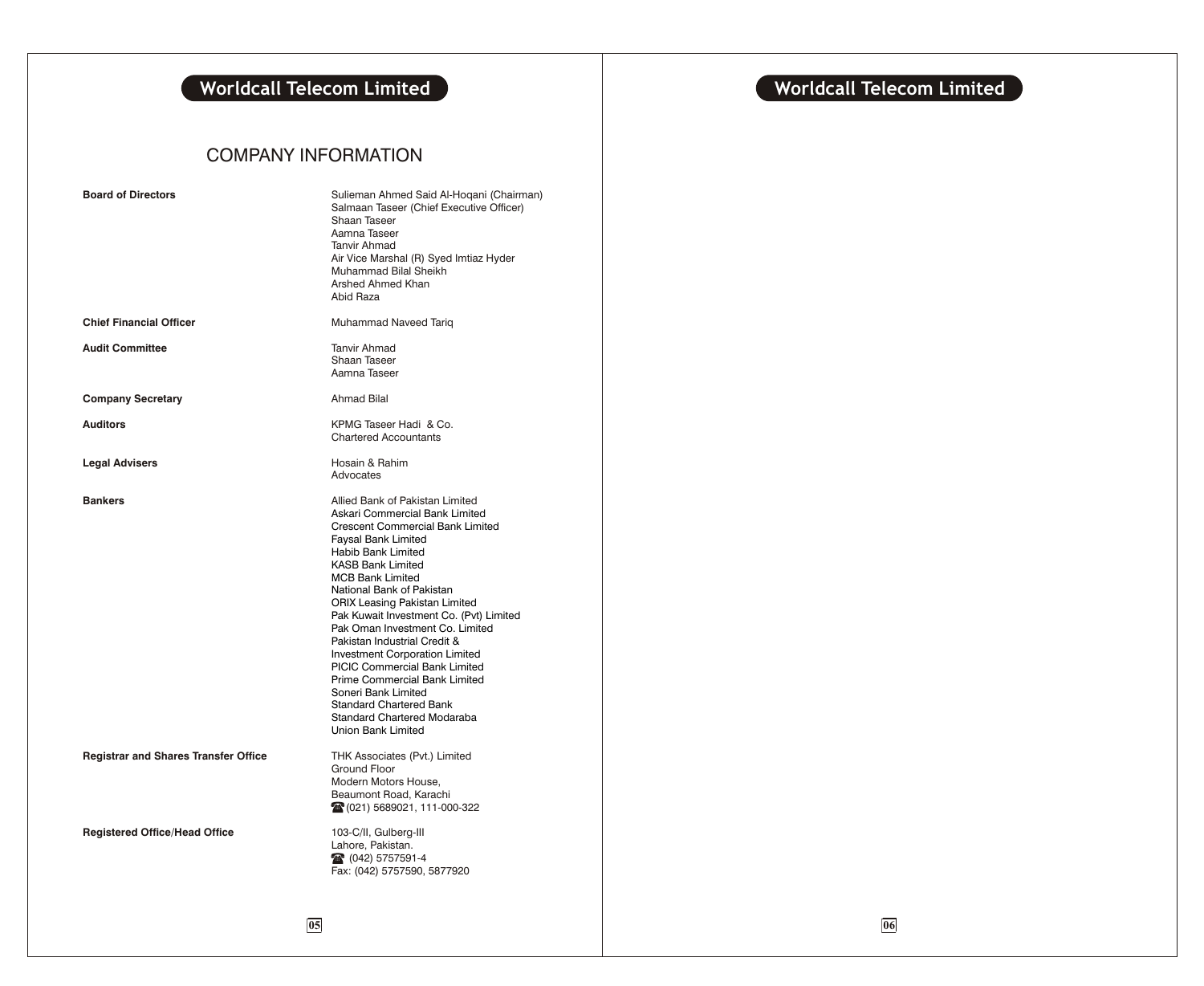## **Worldcall Telecom Limited and Service 2018 (Service 2018) Worldcall Telecom Limited**

## COMPANY INFORMATION

| <b>Board of Directors</b>                   | Sulieman Ahmed Said Al-Hoqani (Chairman)<br>Salmaan Taseer (Chief Executive Officer)<br>Shaan Taseer<br>Aamna Taseer<br>Tanvir Ahmad<br>Air Vice Marshal (R) Syed Imtiaz Hyder<br>Muhammad Bilal Sheikh<br>Arshed Ahmed Khan<br>Abid Raza                                                                                                                                                                                                                                                                                                                                                                                    |
|---------------------------------------------|------------------------------------------------------------------------------------------------------------------------------------------------------------------------------------------------------------------------------------------------------------------------------------------------------------------------------------------------------------------------------------------------------------------------------------------------------------------------------------------------------------------------------------------------------------------------------------------------------------------------------|
| <b>Chief Financial Officer</b>              | Muhammad Naveed Tariq                                                                                                                                                                                                                                                                                                                                                                                                                                                                                                                                                                                                        |
| <b>Audit Committee</b>                      | <b>Tanvir Ahmad</b><br>Shaan Taseer<br>Aamna Taseer                                                                                                                                                                                                                                                                                                                                                                                                                                                                                                                                                                          |
| <b>Company Secretary</b>                    | <b>Ahmad Bilal</b>                                                                                                                                                                                                                                                                                                                                                                                                                                                                                                                                                                                                           |
| <b>Auditors</b>                             | KPMG Taseer Hadi & Co.<br><b>Chartered Accountants</b>                                                                                                                                                                                                                                                                                                                                                                                                                                                                                                                                                                       |
| <b>Legal Advisers</b>                       | Hosain & Rahim<br>Advocates                                                                                                                                                                                                                                                                                                                                                                                                                                                                                                                                                                                                  |
| <b>Bankers</b>                              | Allied Bank of Pakistan Limited<br>Askari Commercial Bank Limited<br>Crescent Commercial Bank Limited<br>Faysal Bank Limited<br><b>Habib Bank Limited</b><br><b>KASB Bank Limited</b><br><b>MCB Bank Limited</b><br>National Bank of Pakistan<br><b>ORIX Leasing Pakistan Limited</b><br>Pak Kuwait Investment Co. (Pvt) Limited<br>Pak Oman Investment Co. Limited<br>Pakistan Industrial Credit &<br><b>Investment Corporation Limited</b><br>PICIC Commercial Bank Limited<br>Prime Commercial Bank Limited<br>Soneri Bank Limited<br><b>Standard Chartered Bank</b><br>Standard Chartered Modaraba<br>Union Bank Limited |
| <b>Registrar and Shares Transfer Office</b> | THK Associates (Pvt.) Limited<br><b>Ground Floor</b><br>Modern Motors House.<br>Beaumont Road, Karachi<br>28 (021) 5689021, 111-000-322                                                                                                                                                                                                                                                                                                                                                                                                                                                                                      |
| <b>Registered Office/Head Office</b>        | 103-C/II, Gulberg-III<br>Lahore, Pakistan.<br>28 (042) 5757591-4<br>Fax: (042) 5757590, 5877920                                                                                                                                                                                                                                                                                                                                                                                                                                                                                                                              |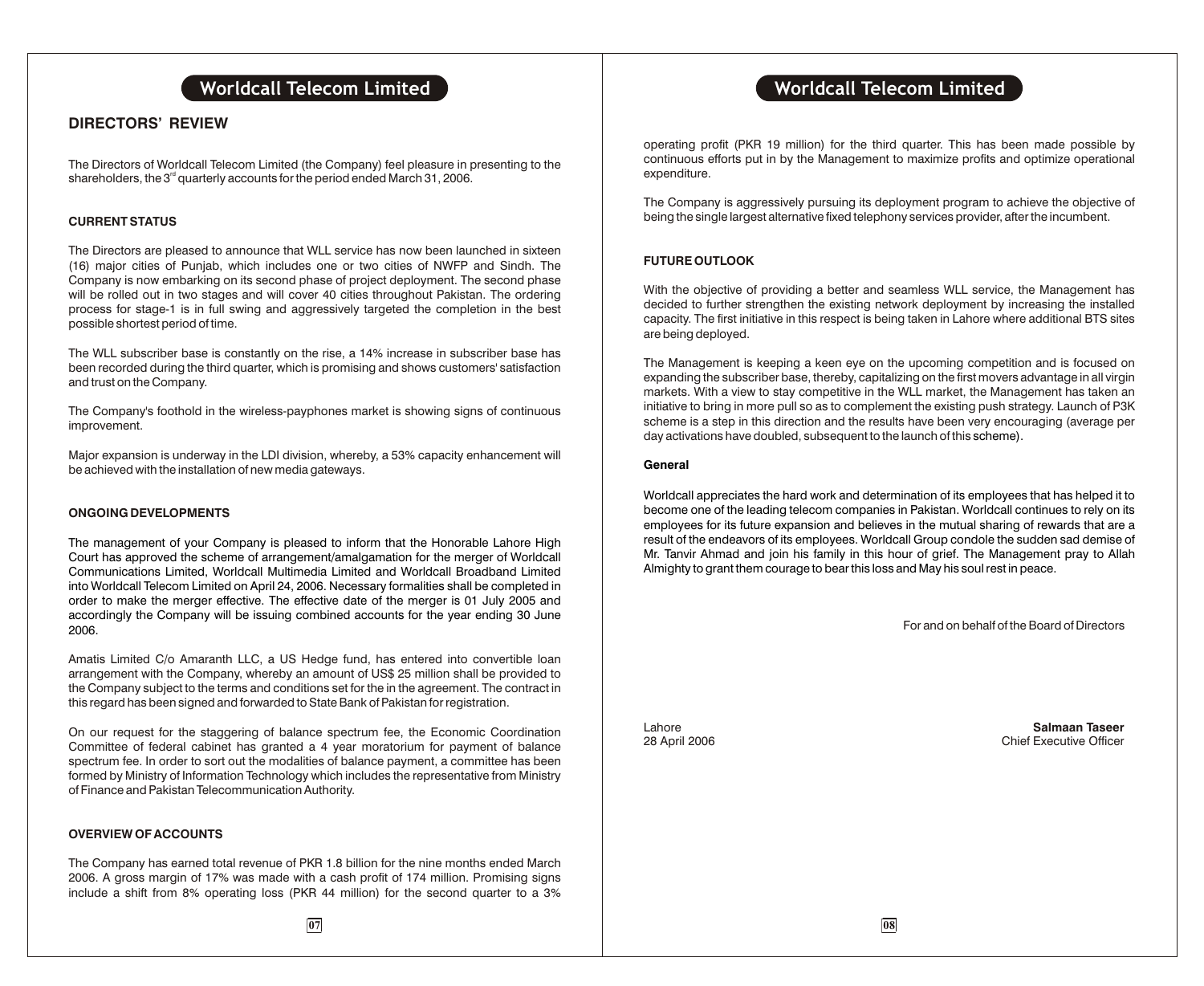## **DIRECTORS' REVIEW**

The Directors of Worldcall Telecom Limited (the Company) feel pleasure in presenting to the shareholders, the  $3<sup>rd</sup>$  quarterly accounts for the period ended March 31, 2006.

## **CURRENT STATUS**

The Directors are pleased to announce that WLL service has now been launched in sixteen (16) major cities of Punjab, which includes one or two cities of NWFP and Sindh. The Company is now embarking on its second phase of project deployment. The second phase will be rolled out in two stages and will cover 40 cities throughout Pakistan. The ordering process for stage-1 is in full swing and aggressively targeted the completion in the best possible shortest period of time.

The WLL subscriber base is constantly on the rise, a 14% increase in subscriber base has been recorded during the third quarter, which is promising and shows customers' satisfaction and trust on the Company.

The Company's foothold in the wireless-payphones market is showing signs of continuous improvement.

Major expansion is underway in the LDI division, whereby, a 53% capacity enhancement will be achieved with the installation of new media gateways.

### **ONGOING DEVELOPMENTS**

The management of your Company is pleased to inform that the Honorable Lahore High Court has approved the scheme of arrangement/amalgamation for the merger of Worldcall Communications Limited, Worldcall Multimedia Limited and Worldcall Broadband Limited into Worldcall Telecom Limited on April 24, 2006. Necessary formalities shall be completed in order to make the merger effective. The effective date of the merger is 01 July 2005 and accordingly the Company will be issuing combined accounts for the year ending 30 June 2006.

Amatis Limited C/o Amaranth LLC, a US Hedge fund, has entered into convertible loan arrangement with the Company, whereby an amount of US\$ 25 million shall be provided to the Company subject to the terms and conditions set for the in the agreement. The contract in this regard has been signed and forwarded to State Bank of Pakistan for registration.

On our request for the staggering of balance spectrum fee, the Economic Coordination Committee of federal cabinet has granted a 4 year moratorium for payment of balance spectrum fee. In order to sort out the modalities of balance payment, a committee has been formed by Ministry of Information Technology which includes the representative from Ministry of Finance and Pakistan Telecommunication Authority.

### **OVERVIEW OF ACCOUNTS**

The Company has earned total revenue of PKR 1.8 billion for the nine months ended March 2006. A gross margin of 17% was made with a cash profit of 174 million. Promising signs include a shift from 8% operating loss (PKR 44 million) for the second quarter to a 3%

operating profit (PKR 19 million) for the third quarter. This has been made possible by continuous efforts put in by the Management to maximize profits and optimize operational expenditure.

The Company is aggressively pursuing its deployment program to achieve the objective of being the single largest alternative fixed telephony services provider, after the incumbent.

## **FUTURE OUTLOOK**

With the objective of providing a better and seamless WLL service, the Management has decided to further strengthen the existing network deployment by increasing the installed capacity. The first initiative in this respect is being taken in Lahore where additional BTS sites are being deployed.

The Management is keeping a keen eye on the upcoming competition and is focused on expanding the subscriber base, thereby, capitalizing on the first movers advantage in all virgin markets. With a view to stay competitive in the WLL market, the Management has taken an initiative to bring in more pull so as to complement the existing push strategy. Launch of P3K scheme is a step in this direction and the results have been very encouraging (average per day activations have doubled, subsequent to the launch of this scheme).

### **General**

Worldcall appreciates the hard work and determination of its employees that has helped it to become one of the leading telecom companies in Pakistan. Worldcall continues to rely on its employees for its future expansion and believes in the mutual sharing of rewards that are a result of the endeavors of its employees. Worldcall Group condole the sudden sad demise of Mr. Tanvir Ahmad and join his family in this hour of grief. The Management pray to Allah Almighty to grant them courage to bear this loss and May his soul rest in peace.

For and on behalf of the Board of Directors

Lahore **Salmaan Taseer Chief Executive Officer**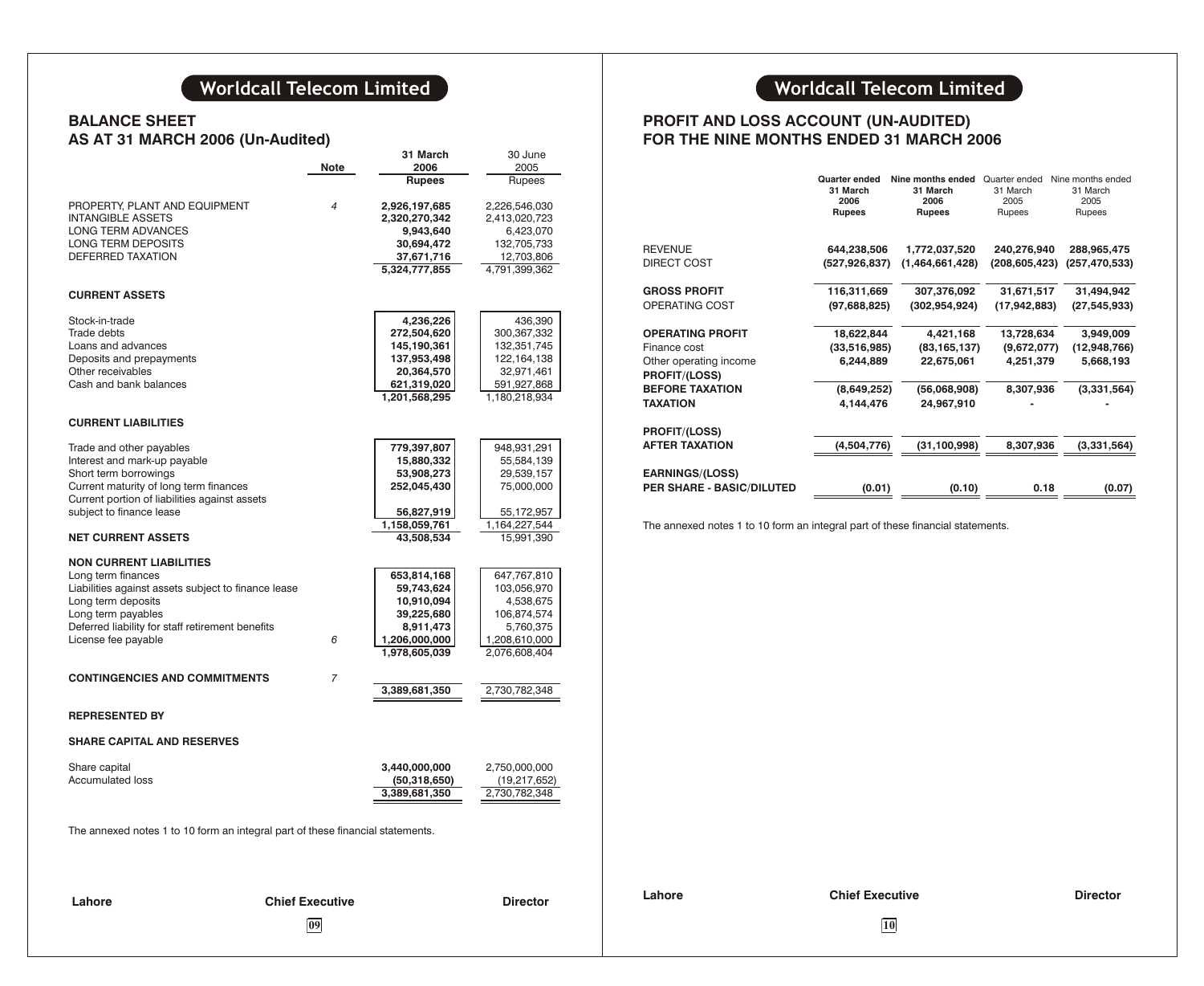## **BALANCE SHEET AS AT 31 MARCH 2006 (Un-Audited)**

|                                                                                                                                                                                                                                       |                        | 31 March                                                                                             | 30 June                                                                                               |  |
|---------------------------------------------------------------------------------------------------------------------------------------------------------------------------------------------------------------------------------------|------------------------|------------------------------------------------------------------------------------------------------|-------------------------------------------------------------------------------------------------------|--|
|                                                                                                                                                                                                                                       | Note                   | 2006<br><b>Rupees</b>                                                                                | 2005<br>Rupees                                                                                        |  |
| PROPERTY, PLANT AND EQUIPMENT<br><b>INTANGIBLE ASSETS</b><br>LONG TERM ADVANCES<br>LONG TERM DEPOSITS<br><b>DEFERRED TAXATION</b>                                                                                                     | 4                      | 2,926,197,685<br>2,320,270,342<br>9,943,640<br>30,694,472<br>37,671,716<br>5,324,777,855             | 2,226,546,030<br>2,413,020,723<br>6,423,070<br>132,705,733<br>12,703,806<br>4,791,399,362             |  |
| <b>CURRENT ASSETS</b>                                                                                                                                                                                                                 |                        |                                                                                                      |                                                                                                       |  |
| Stock-in-trade<br>Trade debts<br>Loans and advances<br>Deposits and prepayments<br>Other receivables<br>Cash and bank balances                                                                                                        |                        | 4,236,226<br>272,504,620<br>145,190,361<br>137,953,498<br>20,364,570<br>621,319,020<br>1,201,568,295 | 436,390<br>300,367,332<br>132,351,745<br>122,164,138<br>32,971,461<br>591,927,868<br>1,180,218,934    |  |
| <b>CURRENT LIABILITIES</b>                                                                                                                                                                                                            |                        |                                                                                                      |                                                                                                       |  |
| Trade and other payables<br>Interest and mark-up payable<br>Short term borrowings<br>Current maturity of long term finances<br>Current portion of liabilities against assets<br>subject to finance lease<br><b>NET CURRENT ASSETS</b> |                        | 779,397,807<br>15,880,332<br>53,908,273<br>252,045,430<br>56,827,919<br>1,158,059,761<br>43,508,534  | 948,931,291<br>55,584,139<br>29,539,157<br>75,000,000<br>55,172,957<br>1,164,227,544<br>15,991,390    |  |
| <b>NON CURRENT LIABILITIES</b><br>Long term finances<br>Liabilities against assets subject to finance lease<br>Long term deposits<br>Long term payables<br>Deferred liability for staff retirement benefits<br>License fee payable    | 6                      | 653,814,168<br>59,743,624<br>10,910,094<br>39,225,680<br>8,911,473<br>1,206,000,000<br>1,978,605,039 | 647,767,810<br>103,056,970<br>4,538,675<br>106,874,574<br>5,760,375<br>1,208,610,000<br>2,076,608,404 |  |
| <b>CONTINGENCIES AND COMMITMENTS</b>                                                                                                                                                                                                  | 7                      | 3,389,681,350                                                                                        | 2,730,782,348                                                                                         |  |
| <b>REPRESENTED BY</b>                                                                                                                                                                                                                 |                        |                                                                                                      |                                                                                                       |  |
| <b>SHARE CAPITAL AND RESERVES</b>                                                                                                                                                                                                     |                        |                                                                                                      |                                                                                                       |  |
| Share capital<br><b>Accumulated loss</b>                                                                                                                                                                                              |                        | 3,440,000,000<br>(50,318,650)<br>3,389,681,350                                                       | 2,750,000,000<br>(19,217,652)<br>2,730,782,348                                                        |  |
| The annexed notes 1 to 10 form an integral part of these financial statements.                                                                                                                                                        |                        |                                                                                                      |                                                                                                       |  |
| Lahore                                                                                                                                                                                                                                | <b>Chief Executive</b> |                                                                                                      | <b>Director</b>                                                                                       |  |

## **Worldcall Telecom Limited Worldcall Telecom Limited**

## **PROFIT AND LOSS ACCOUNT (UN-AUDITED) FOR THE NINE MONTHS ENDED 31 MARCH 2006**

|                                                | <b>Quarter ended</b><br>31 March<br>2006<br><b>Rupees</b> | Nine months ended<br>31 March<br>2006<br><b>Rupees</b> | Quarter ended<br>31 March<br>2005<br>Rupees | Nine months ended<br>31 March<br>2005<br>Rupees |
|------------------------------------------------|-----------------------------------------------------------|--------------------------------------------------------|---------------------------------------------|-------------------------------------------------|
| REVENUE                                        | 644,238,506                                               | 1,772,037,520                                          | 240,276,940                                 | 288,965,475                                     |
| DIRECT COST                                    | (527,926,837)                                             | (1,464,661,428)                                        | (208,605,423)                               | (257, 470, 533)                                 |
| <b>GROSS PROFIT</b>                            | 116,311,669                                               | 307,376,092                                            | 31,671,517                                  | 31,494,942                                      |
| OPERATING COST                                 | (97,688,825)                                              | (302, 954, 924)                                        | (17, 942, 883)                              | (27, 545, 933)                                  |
| <b>OPERATING PROFIT</b>                        | 18,622,844                                                | 4,421,168                                              | 13,728,634                                  | 3,949,009                                       |
| Finance cost                                   | (33,516,985)                                              | (83, 165, 137)                                         | (9,672,077)                                 | (12,948,766)                                    |
| Other operating income<br><b>PROFIT/(LOSS)</b> | 6,244,889                                                 | 22,675,061                                             | 4,251,379                                   | 5,668,193                                       |
| <b>BEFORE TAXATION</b>                         | (8,649,252)                                               | (56,068,908)                                           | 8,307,936                                   | (3,331,564)                                     |
| ΤΑΧΑΤΙΟΝ                                       | 4,144,476                                                 | 24,967,910                                             |                                             |                                                 |
| <b>PROFIT/(LOSS)</b>                           |                                                           |                                                        |                                             |                                                 |
| AFTER TAXATION                                 | (4,504,776)                                               | (31, 100, 998)                                         | 8,307,936                                   | (3,331,564)                                     |
| <b>EARNINGS/(LOSS)</b>                         |                                                           |                                                        |                                             |                                                 |
| <b>PER SHARE - BASIC/DILUTED</b>               | (0.01)                                                    | (0.10)                                                 | 0.18                                        | (0.07)                                          |

The annexed notes 1 to 10 form an integral part of these financial statements.

**09 10**

**Lahore Chief Executive Director**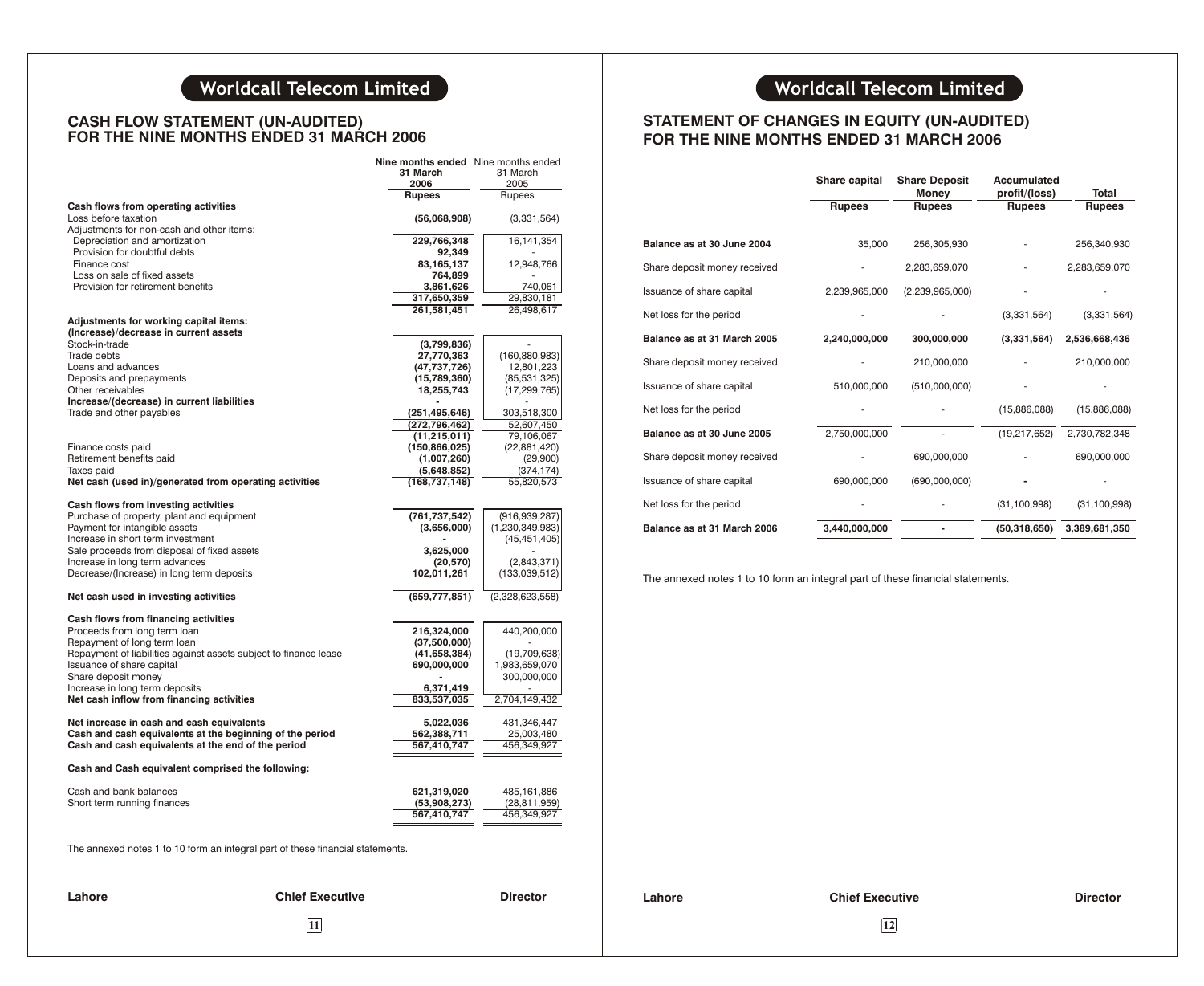## **CASH FLOW STATEMENT (UN-AUDITED) FOR THE NINE MONTHS ENDED 31 MARCH 2006**

| Cash flows from operating activities<br>Loss before taxation<br>Adjustments for non-cash and other items: | 31 March<br>2006<br>Rupees | 31 March<br>2005<br>Rupees |
|-----------------------------------------------------------------------------------------------------------|----------------------------|----------------------------|
|                                                                                                           |                            |                            |
|                                                                                                           |                            |                            |
|                                                                                                           |                            |                            |
|                                                                                                           |                            |                            |
|                                                                                                           | (56,068,908)               | (3,331,564)                |
|                                                                                                           |                            |                            |
| Depreciation and amortization                                                                             | 229,766,348                | 16,141,354                 |
| Provision for doubtful debts                                                                              | 92,349                     |                            |
| Finance cost                                                                                              | 83,165,137                 | 12,948,766                 |
| Loss on sale of fixed assets                                                                              | 764,899                    |                            |
| Provision for retirement benefits                                                                         | 3,861,626                  | 740,061                    |
|                                                                                                           | 317,650,359                | 29,830,181                 |
|                                                                                                           | 261,581,451                | 26,498,617                 |
| Adjustments for working capital items:                                                                    |                            |                            |
| (Increase)/decrease in current assets                                                                     |                            |                            |
|                                                                                                           |                            |                            |
| Stock-in-trade                                                                                            | (3,799,836)                |                            |
| Trade debts                                                                                               | 27,770,363                 | (160, 880, 983)            |
| Loans and advances                                                                                        | (47,737,726)               | 12,801,223                 |
| Deposits and prepayments                                                                                  | (15,789,360)               | (85, 531, 325)             |
| Other receivables                                                                                         | 18,255,743                 | (17, 299, 765)             |
| Increase/(decrease) in current liabilities                                                                |                            |                            |
| Trade and other payables                                                                                  | (251, 495, 646)            | 303,518,300                |
|                                                                                                           | (272, 796, 462)            | 52,607,450                 |
|                                                                                                           | (11, 215, 011)             | 79,106,067                 |
|                                                                                                           |                            |                            |
| Finance costs paid                                                                                        | (150, 866, 025)            | (22,881,420)               |
| Retirement benefits paid                                                                                  | (1,007,260)                | (29,900)                   |
| Taxes paid                                                                                                | (5,648,852)                | (374, 174)                 |
| Net cash (used in)/generated from operating activities                                                    | (168, 737, 148)            | 55,820,573                 |
|                                                                                                           |                            |                            |
| Cash flows from investing activities                                                                      |                            |                            |
| Purchase of property, plant and equipment                                                                 | (761, 737, 542)            | (916, 939, 287)            |
| Payment for intangible assets                                                                             | (3,656,000)                | (1, 230, 349, 983)         |
| Increase in short term investment                                                                         |                            | (45, 451, 405)             |
| Sale proceeds from disposal of fixed assets                                                               | 3,625,000                  |                            |
| Increase in long term advances                                                                            | (20, 570)                  | (2,843,371)                |
| Decrease/(Increase) in long term deposits                                                                 | 102,011,261                | (133,039,512)              |
|                                                                                                           |                            |                            |
| Net cash used in investing activities                                                                     | (659, 777, 851)            | (2,328,623,558)            |
|                                                                                                           |                            |                            |
| Cash flows from financing activities                                                                      |                            |                            |
| Proceeds from long term loan                                                                              | 216,324,000                | 440,200,000                |
| Repayment of long term loan                                                                               | (37,500,000)               |                            |
| Repayment of liabilities against assets subject to finance lease                                          | (41, 658, 384)             | (19,709,638)               |
| Issuance of share capital                                                                                 |                            |                            |
|                                                                                                           | 690,000,000                | 1,983,659,070              |
| Share deposit money                                                                                       |                            | 300,000,000                |
| Increase in long term deposits                                                                            | 6,371,419                  |                            |
| Net cash inflow from financing activities                                                                 | 833,537,035                | 2,704,149,432              |
|                                                                                                           |                            |                            |
| Net increase in cash and cash equivalents                                                                 | 5,022,036                  | 431,346,447                |
| Cash and cash equivalents at the beginning of the period                                                  | 562,388,711                | 25,003,480                 |
| Cash and cash equivalents at the end of the period                                                        | 567,410,747                | 456,349,927                |
| Cash and Cash equivalent comprised the following:                                                         |                            |                            |
|                                                                                                           |                            |                            |
| Cash and bank balances                                                                                    | 621,319,020                | 485,161,886                |
| Short term running finances                                                                               | (53,908,273)               | (28, 811, 959)             |
|                                                                                                           | 567,410,747                | 456,349,927                |
|                                                                                                           |                            |                            |

## **STATEMENT OF CHANGES IN EQUITY (UN-AUDITED) FOR THE NINE MONTHS ENDED 31 MARCH 2006**

|                              | Share capital | <b>Share Deposit</b>          | Accumulated                    |                        |
|------------------------------|---------------|-------------------------------|--------------------------------|------------------------|
|                              | <b>Rupees</b> | <b>Money</b><br><b>Rupees</b> | profit/(loss)<br><b>Rupees</b> | Total<br><b>Rupees</b> |
|                              |               |                               |                                |                        |
| Balance as at 30 June 2004   | 35,000        | 256,305,930                   |                                | 256,340,930            |
| Share deposit money received |               | 2,283,659,070                 |                                | 2,283,659,070          |
| Issuance of share capital    | 2,239,965,000 | (2,239,965,000)               |                                |                        |
| Net loss for the period      |               |                               | (3,331,564)                    | (3,331,564)            |
| Balance as at 31 March 2005  | 2,240,000,000 | 300,000,000                   | (3,331,564)                    | 2,536,668,436          |
| Share deposit money received |               | 210,000,000                   |                                | 210,000,000            |
| Issuance of share capital    | 510,000,000   | (510,000,000)                 |                                |                        |
| Net loss for the period      |               |                               | (15,886,088)                   | (15,886,088)           |
| Balance as at 30 June 2005   | 2,750,000,000 |                               | (19, 217, 652)                 | 2,730,782,348          |
| Share deposit money received |               | 690,000,000                   |                                | 690,000,000            |
| Issuance of share capital    | 690,000,000   | (690,000,000)                 |                                |                        |
| Net loss for the period      |               |                               | (31, 100, 998)                 | (31, 100, 998)         |
| Balance as at 31 March 2006  | 3,440,000,000 |                               | (50, 318, 650)                 | 3,389,681,350          |
|                              |               |                               |                                |                        |

The annexed notes 1 to 10 form an integral part of these financial statements.

**Lahore Chief Executive Director**

```
Lahore Chief Executive Director
```
**11 12**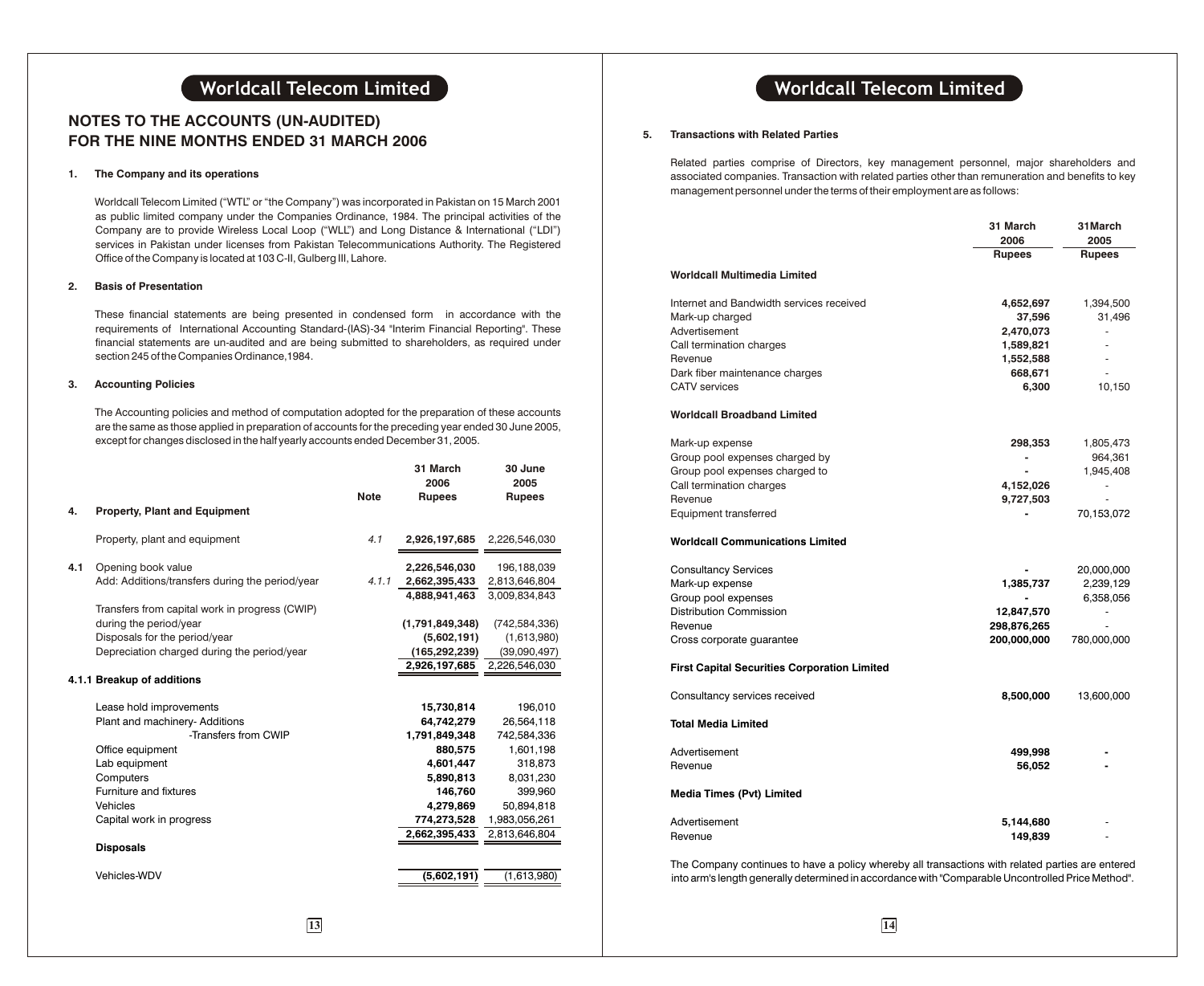## **NOTES TO THE ACCOUNTS (UN-AUDITED) FOR THE NINE MONTHS ENDED 31 MARCH 2006**

### **1. The Company and its operations**

Worldcall Telecom Limited ("WTL" or "the Company") was incorporated in Pakistan on 15 March 2001 as public limited company under the Companies Ordinance, 1984. The principal activities of the Company are to provide Wireless Local Loop ("WLL") and Long Distance & International ("LDI") services in Pakistan under licenses from Pakistan Telecommunications Authority. The Registered Office of the Company is located at 103 C-II, Gulberg III, Lahore.

### **2. Basis of Presentation**

These financial statements are being presented in condensed form in accordance with the requirements of International Accounting Standard-(IAS)-34 "Interim Financial Reporting". These financial statements are un-audited and are being submitted to shareholders, as required under section 245 of the Companies Ordinance,1984.

### **3. Accounting Policies**

The Accounting policies and method of computation adopted for the preparation of these accounts are the same as those applied in preparation of accounts for the preceding year ended 30 June 2005, except for changes disclosed in the half yearly accounts ended December 31, 2005.

|     |                                                 | <b>Note</b> | 31 March<br>2006<br><b>Rupees</b> | 30 June<br>2005<br><b>Rupees</b> |
|-----|-------------------------------------------------|-------------|-----------------------------------|----------------------------------|
| 4.  | <b>Property, Plant and Equipment</b>            |             |                                   |                                  |
|     | Property, plant and equipment                   | 4.1         | 2,926,197,685                     | 2,226,546,030                    |
| 4.1 | Opening book value                              |             | 2,226,546,030                     | 196,188,039                      |
|     | Add: Additions/transfers during the period/year | 4.1.1       | 2,662,395,433                     | 2,813,646,804                    |
|     |                                                 |             | 4,888,941,463                     | 3,009,834,843                    |
|     | Transfers from capital work in progress (CWIP)  |             |                                   |                                  |
|     | during the period/year                          |             | (1,791,849,348)                   | (742, 584, 336)                  |
|     | Disposals for the period/year                   |             | (5,602,191)                       | (1,613,980)                      |
|     | Depreciation charged during the period/year     |             | (165, 292, 239)                   | (39,090,497)                     |
|     |                                                 |             | 2,926,197,685                     | 2,226,546,030                    |
|     | 4.1.1 Breakup of additions                      |             |                                   |                                  |
|     | Lease hold improvements                         |             | 15,730,814                        | 196,010                          |
|     | Plant and machinery- Additions                  |             | 64,742,279                        | 26,564,118                       |
|     | -Transfers from CWIP                            |             | 1,791,849,348                     | 742,584,336                      |
|     | Office equipment                                |             | 880,575                           | 1,601,198                        |
|     | Lab equipment                                   |             | 4,601,447                         | 318,873                          |
|     | Computers                                       |             | 5,890,813                         | 8,031,230                        |
|     | Furniture and fixtures                          |             | 146,760                           | 399,960                          |
|     | Vehicles                                        |             | 4,279,869                         | 50,894,818                       |
|     | Capital work in progress                        |             | 774,273,528                       | 1,983,056,261                    |
|     |                                                 |             | 2,662,395,433                     | 2,813,646,804                    |
|     | <b>Disposals</b>                                |             |                                   |                                  |
|     | Vehicles-WDV                                    |             | (5,602,191)                       | (1,613,980)                      |
|     |                                                 |             |                                   |                                  |

## **Worldcall Telecom Limited Worldcall Telecom Limited**

#### **5. Transactions with Related Parties**

Related parties comprise of Directors, key management personnel, major shareholders and associated companies. Transaction with related parties other than remuneration and benefits to key management personnel under the terms of their employment are as follows:

|                                                     | 31 March<br>2006 | 31March<br>2005 |
|-----------------------------------------------------|------------------|-----------------|
|                                                     | <b>Rupees</b>    | <b>Rupees</b>   |
| Worldcall Multimedia Limited                        |                  |                 |
| Internet and Bandwidth services received            | 4,652,697        | 1,394,500       |
| Mark-up charged                                     | 37,596           | 31,496          |
| Advertisement                                       | 2,470,073        | ÷,              |
| Call termination charges                            | 1,589,821        |                 |
| Revenue                                             | 1,552,588        |                 |
| Dark fiber maintenance charges                      | 668,671          | ÷,              |
| <b>CATV</b> services                                | 6,300            | 10,150          |
| <b>Worldcall Broadband Limited</b>                  |                  |                 |
| Mark-up expense                                     | 298,353          | 1,805,473       |
| Group pool expenses charged by                      |                  | 964,361         |
| Group pool expenses charged to                      |                  | 1,945,408       |
| Call termination charges                            | 4,152,026        | ٠               |
| Revenue                                             | 9,727,503        |                 |
| Equipment transferred                               |                  | 70,153,072      |
| <b>Worldcall Communications Limited</b>             |                  |                 |
| <b>Consultancy Services</b>                         |                  | 20,000,000      |
| Mark-up expense                                     | 1,385,737        | 2,239,129       |
| Group pool expenses                                 |                  | 6,358,056       |
| Distribution Commission                             | 12,847,570       |                 |
| Revenue                                             | 298,876,265      |                 |
| Cross corporate guarantee                           | 200,000,000      | 780,000,000     |
| <b>First Capital Securities Corporation Limited</b> |                  |                 |
| Consultancy services received                       | 8,500,000        | 13,600,000      |
| <b>Total Media Limited</b>                          |                  |                 |
| Advertisement                                       | 499,998          |                 |
| Revenue                                             | 56,052           |                 |
| <b>Media Times (Pvt) Limited</b>                    |                  |                 |
| Advertisement                                       | 5,144,680        |                 |
| Revenue                                             | 149,839          |                 |

The Company continues to have a policy whereby all transactions with related parties are entered into arm's length generally determined in accordance with "Comparable Uncontrolled Price Method".